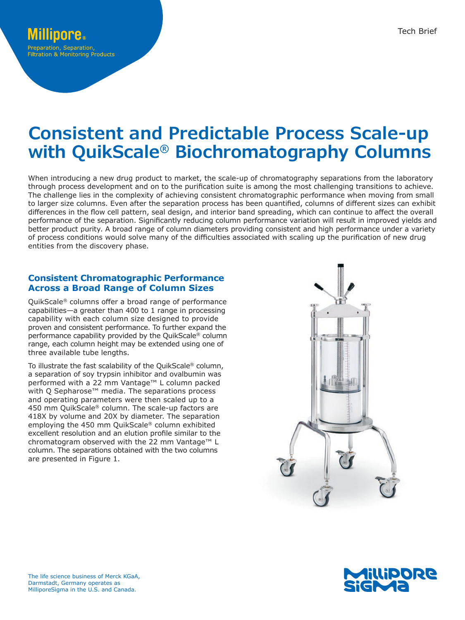# **Consistent and Predictable Process Scale-up with QuikScale® Biochromatography Columns**

When introducing a new drug product to market, the scale-up of chromatography separations from the laboratory through process development and on to the purification suite is among the most challenging transitions to achieve. The challenge lies in the complexity of achieving consistent chromatographic performance when moving from small to larger size columns. Even after the separation process has been quantified, columns of different sizes can exhibit differences in the flow cell pattern, seal design, and interior band spreading, which can continue to affect the overall performance of the separation. Significantly reducing column performance variation will result in improved yields and better product purity. A broad range of column diameters providing consistent and high performance under a variety of process conditions would solve many of the difficulties associated with scaling up the purification of new drug entities from the discovery phase.

## **Consistent Chromatographic Performance Across a Broad Range of Column Sizes**

QuikScale® columns offer a broad range of performance capabilities—a greater than 400 to 1 range in processing capability with each column size designed to provide proven and consistent performance. To further expand the performance capability provided by the QuikScale® column range, each column height may be extended using one of three available tube lengths.

To illustrate the fast scalability of the QuikScale® column, a separation of soy trypsin inhibitor and ovalbumin was performed with a 22 mm Vantage™ L column packed with Q Sepharose<sup>™</sup> media. The separations process and operating parameters were then scaled up to a 450 mm QuikScale® column. The scale-up factors are 418X by volume and 20X by diameter. The separation employing the 450 mm QuikScale® column exhibited excellent resolution and an elution profile similar to the chromatogram observed with the 22 mm Vantage™ L column. The separations obtained with the two columns are presented in Figure 1.



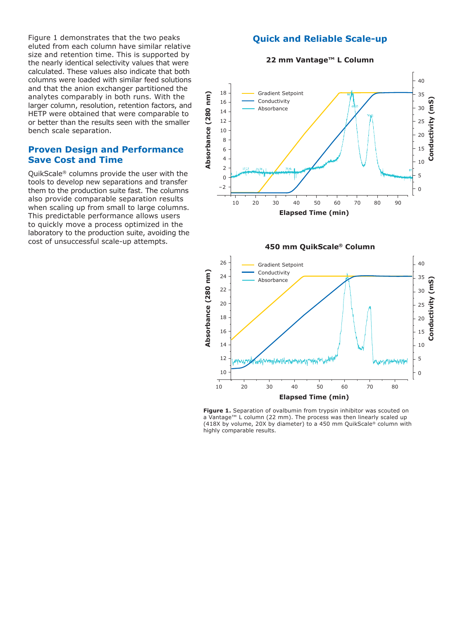Figure 1 demonstrates that the two peaks eluted from each column have similar relative size and retention time. This is supported by the nearly identical selectivity values that were calculated. These values also indicate that both columns were loaded with similar feed solutions and that the anion exchanger partitioned the analytes comparably in both runs. With the larger column, resolution, retention factors, and HETP were obtained that were comparable to or better than the results seen with the smaller bench scale separation.

## **Proven Design and Performance Save Cost and Time**

QuikScale® columns provide the user with the tools to develop new separations and transfer them to the production suite fast. The columns also provide comparable separation results when scaling up from small to large columns. This predictable performance allows users to quickly move a process optimized in the laboratory to the production suite, avoiding the cost of unsuccessful scale-up attempts.

## **Quick and Reliable Scale-up**









Figure 1. Separation of ovalbumin from trypsin inhibitor was scouted on a Vantage™ L column (22 mm). The process was then linearly scaled up (418X by volume, 20X by diameter) to a 450 mm QuikScale® column with highly comparable results.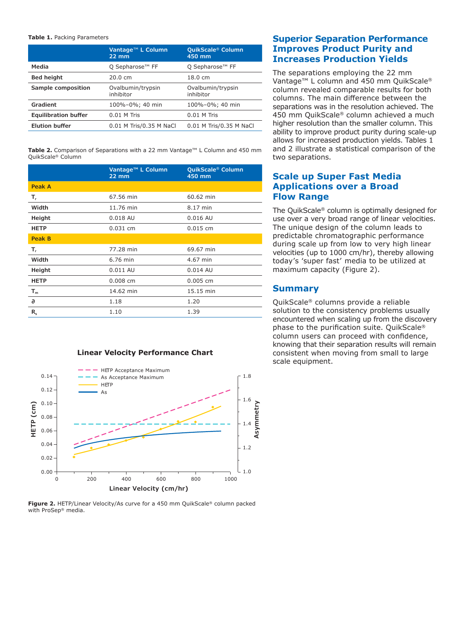#### **Table 1.** Packing Parameters

|                             | Vantage <sup>™</sup> L Column<br>$22 \text{ mm}$ | QuikScale <sup>®</sup> Column<br>450 mm |
|-----------------------------|--------------------------------------------------|-----------------------------------------|
| Media                       | Q Sepharose <sup>™</sup> FF                      | Q Sepharose <sup>™</sup> FF             |
| <b>Bed height</b>           | $20.0 \text{ cm}$                                | $18.0 \text{ cm}$                       |
| Sample composition          | Ovalbumin/trypsin<br>inhibitor                   | Ovalbumin/trypsin<br>inhibitor          |
| Gradient                    | 100%-0%; 40 min                                  | 100%-0%; 40 min                         |
| <b>Equilibration buffer</b> | $0.01$ M Tris                                    | $0.01$ M Tris                           |
| <b>Elution buffer</b>       | 0.01 M Tris/0.35 M NaCl                          | 0.01 M Tris/0.35 M NaCl                 |

**Table 2.** Comparison of Separations with a 22 mm Vantage™ L Column and 450 mm QuikScale® Column

|               | Vantage <sup>™</sup> L Column<br>$22$ mm | QuikScale <sup>®</sup> Column<br>450 mm |
|---------------|------------------------------------------|-----------------------------------------|
| <b>Peak A</b> |                                          |                                         |
| Т,            | 67.56 min                                | 60.62 min                               |
| Width         | 11.76 min                                | 8.17 min                                |
| Height        | 0.018 AU                                 | 0.016 AU                                |
| <b>HETP</b>   | $0.031$ cm                               | $0.015$ cm                              |
| <b>Peak B</b> |                                          |                                         |
| т,            | 77.28 min                                | 69.67 min                               |
| Width         | 6.76 min                                 | 4.67 min                                |
| Height        | 0.011 AU                                 | 0.014 AU                                |
| <b>HETP</b>   | $0.008$ cm                               | 0.005 cm                                |
| $T_m$         | 14.62 min                                | 15.15 min                               |
| a             | 1.18                                     | 1.20                                    |
| $R_{s}$       | 1.10                                     | 1.39                                    |

#### **Linear Velocity Performance Chart**



**Figure 2.** HETP/Linear Velocity/As curve for a 450 mm QuikScale® column packed with ProSep® media.

## **Superior Separation Performance Improves Product Purity and Increases Production Yields**

The separations employing the 22 mm Vantage™ L column and 450 mm QuikScale® column revealed comparable results for both columns. The main difference between the separations was in the resolution achieved. The 450 mm QuikScale® column achieved a much higher resolution than the smaller column. This ability to improve product purity during scale-up allows for increased production yields. Tables 1 and 2 illustrate a statistical comparison of the two separations.

## **Scale up Super Fast Media Applications over a Broad Flow Range**

The QuikScale® column is optimally designed for use over a very broad range of linear velocities. The unique design of the column leads to predictable chromatographic performance during scale up from low to very high linear velocities (up to 1000 cm/hr), thereby allowing today's 'super fast' media to be utilized at maximum capacity (Figure 2).

### **Summary**

QuikScale® columns provide a reliable solution to the consistency problems usually encountered when scaling up from the discovery phase to the purification suite. QuikScale® column users can proceed with confidence, knowing that their separation results will remain consistent when moving from small to large scale equipment.